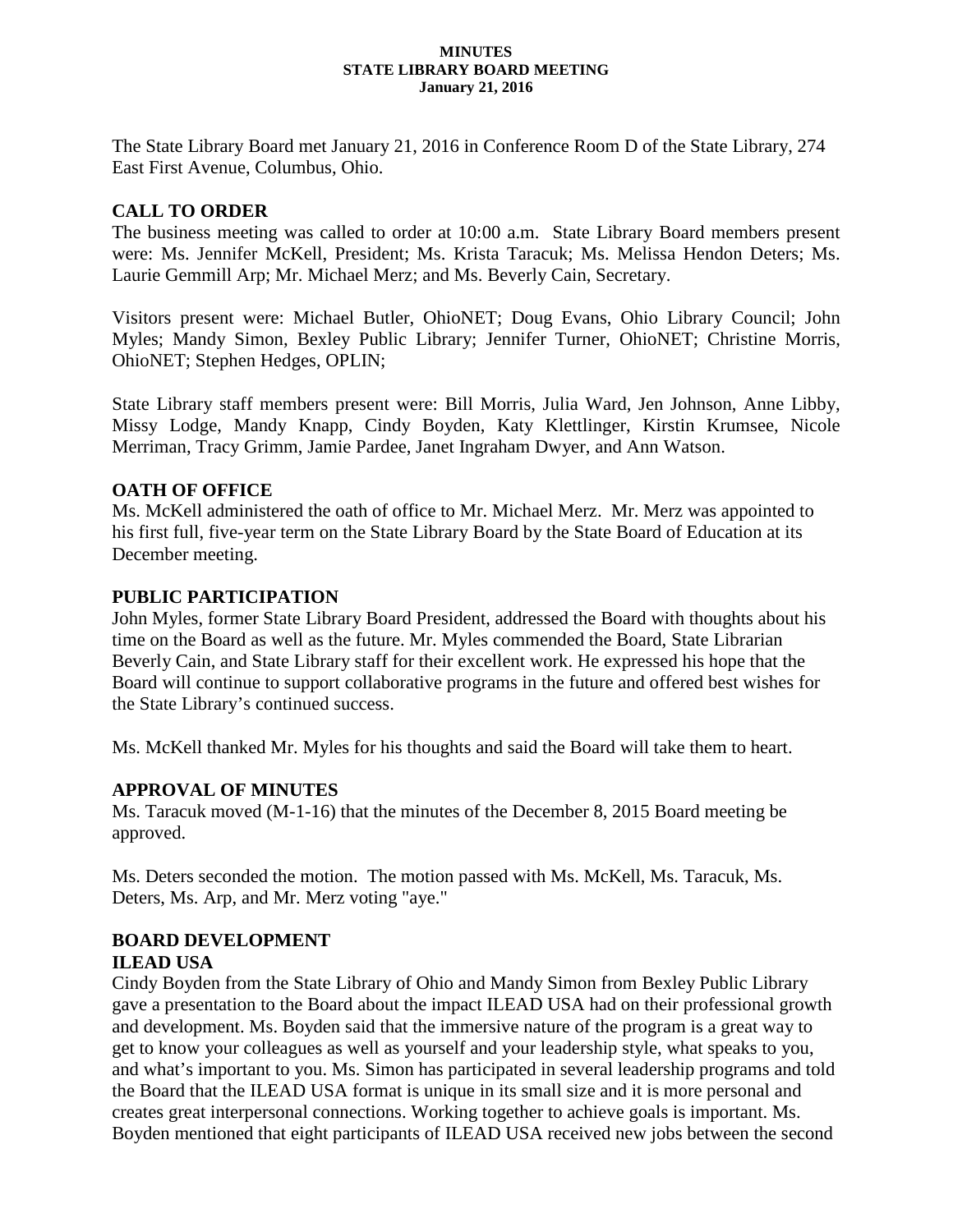#### **MINUTES STATE LIBRARY BOARD MEETING January 21, 2016**

The State Library Board met January 21, 2016 in Conference Room D of the State Library, 274 East First Avenue, Columbus, Ohio.

### **CALL TO ORDER**

The business meeting was called to order at 10:00 a.m. State Library Board members present were: Ms. Jennifer McKell, President; Ms. Krista Taracuk; Ms. Melissa Hendon Deters; Ms. Laurie Gemmill Arp; Mr. Michael Merz; and Ms. Beverly Cain, Secretary.

Visitors present were: Michael Butler, OhioNET; Doug Evans, Ohio Library Council; John Myles; Mandy Simon, Bexley Public Library; Jennifer Turner, OhioNET; Christine Morris, OhioNET; Stephen Hedges, OPLIN;

State Library staff members present were: Bill Morris, Julia Ward, Jen Johnson, Anne Libby, Missy Lodge, Mandy Knapp, Cindy Boyden, Katy Klettlinger, Kirstin Krumsee, Nicole Merriman, Tracy Grimm, Jamie Pardee, Janet Ingraham Dwyer, and Ann Watson.

### **OATH OF OFFICE**

Ms. McKell administered the oath of office to Mr. Michael Merz. Mr. Merz was appointed to his first full, five-year term on the State Library Board by the State Board of Education at its December meeting.

### **PUBLIC PARTICIPATION**

John Myles, former State Library Board President, addressed the Board with thoughts about his time on the Board as well as the future. Mr. Myles commended the Board, State Librarian Beverly Cain, and State Library staff for their excellent work. He expressed his hope that the Board will continue to support collaborative programs in the future and offered best wishes for the State Library's continued success.

Ms. McKell thanked Mr. Myles for his thoughts and said the Board will take them to heart.

### **APPROVAL OF MINUTES**

Ms. Taracuk moved (M-1-16) that the minutes of the December 8, 2015 Board meeting be approved.

Ms. Deters seconded the motion. The motion passed with Ms. McKell, Ms. Taracuk, Ms. Deters, Ms. Arp, and Mr. Merz voting "aye."

#### **BOARD DEVELOPMENT ILEAD USA**

Cindy Boyden from the State Library of Ohio and Mandy Simon from Bexley Public Library gave a presentation to the Board about the impact ILEAD USA had on their professional growth and development. Ms. Boyden said that the immersive nature of the program is a great way to get to know your colleagues as well as yourself and your leadership style, what speaks to you, and what's important to you. Ms. Simon has participated in several leadership programs and told the Board that the ILEAD USA format is unique in its small size and it is more personal and creates great interpersonal connections. Working together to achieve goals is important. Ms. Boyden mentioned that eight participants of ILEAD USA received new jobs between the second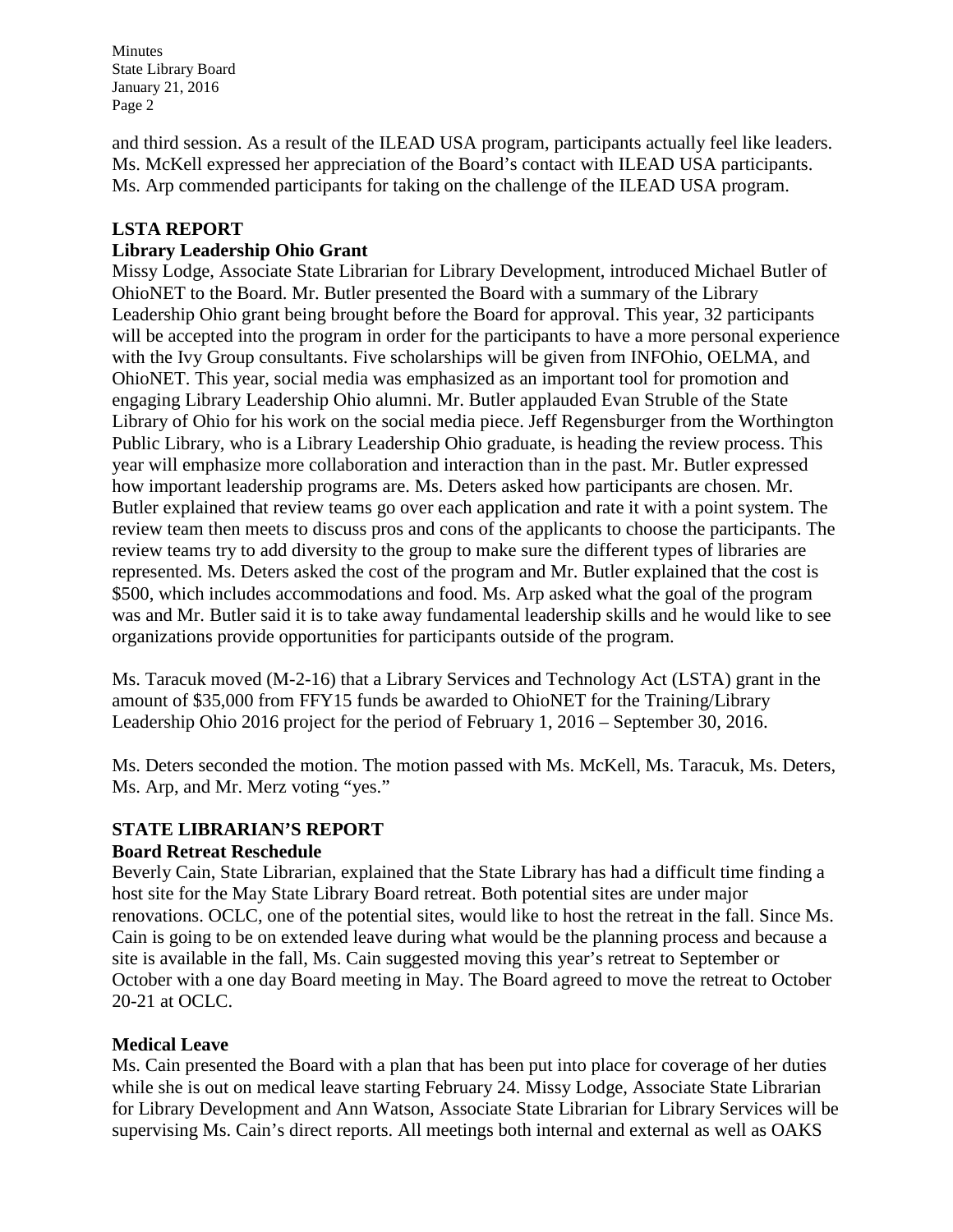Minutes State Library Board January 21, 2016 Page 2

and third session. As a result of the ILEAD USA program, participants actually feel like leaders. Ms. McKell expressed her appreciation of the Board's contact with ILEAD USA participants. Ms. Arp commended participants for taking on the challenge of the ILEAD USA program.

# **LSTA REPORT**

## **Library Leadership Ohio Grant**

Missy Lodge, Associate State Librarian for Library Development, introduced Michael Butler of OhioNET to the Board. Mr. Butler presented the Board with a summary of the Library Leadership Ohio grant being brought before the Board for approval. This year, 32 participants will be accepted into the program in order for the participants to have a more personal experience with the Ivy Group consultants. Five scholarships will be given from INFOhio, OELMA, and OhioNET. This year, social media was emphasized as an important tool for promotion and engaging Library Leadership Ohio alumni. Mr. Butler applauded Evan Struble of the State Library of Ohio for his work on the social media piece. Jeff Regensburger from the Worthington Public Library, who is a Library Leadership Ohio graduate, is heading the review process. This year will emphasize more collaboration and interaction than in the past. Mr. Butler expressed how important leadership programs are. Ms. Deters asked how participants are chosen. Mr. Butler explained that review teams go over each application and rate it with a point system. The review team then meets to discuss pros and cons of the applicants to choose the participants. The review teams try to add diversity to the group to make sure the different types of libraries are represented. Ms. Deters asked the cost of the program and Mr. Butler explained that the cost is \$500, which includes accommodations and food. Ms. Arp asked what the goal of the program was and Mr. Butler said it is to take away fundamental leadership skills and he would like to see organizations provide opportunities for participants outside of the program.

Ms. Taracuk moved (M-2-16) that a Library Services and Technology Act (LSTA) grant in the amount of \$35,000 from FFY15 funds be awarded to OhioNET for the Training/Library Leadership Ohio 2016 project for the period of February 1, 2016 – September 30, 2016.

Ms. Deters seconded the motion. The motion passed with Ms. McKell, Ms. Taracuk, Ms. Deters, Ms. Arp, and Mr. Merz voting "yes."

### **STATE LIBRARIAN'S REPORT Board Retreat Reschedule**

Beverly Cain, State Librarian, explained that the State Library has had a difficult time finding a host site for the May State Library Board retreat. Both potential sites are under major renovations. OCLC, one of the potential sites, would like to host the retreat in the fall. Since Ms. Cain is going to be on extended leave during what would be the planning process and because a site is available in the fall, Ms. Cain suggested moving this year's retreat to September or October with a one day Board meeting in May. The Board agreed to move the retreat to October 20-21 at OCLC.

## **Medical Leave**

Ms. Cain presented the Board with a plan that has been put into place for coverage of her duties while she is out on medical leave starting February 24. Missy Lodge, Associate State Librarian for Library Development and Ann Watson, Associate State Librarian for Library Services will be supervising Ms. Cain's direct reports. All meetings both internal and external as well as OAKS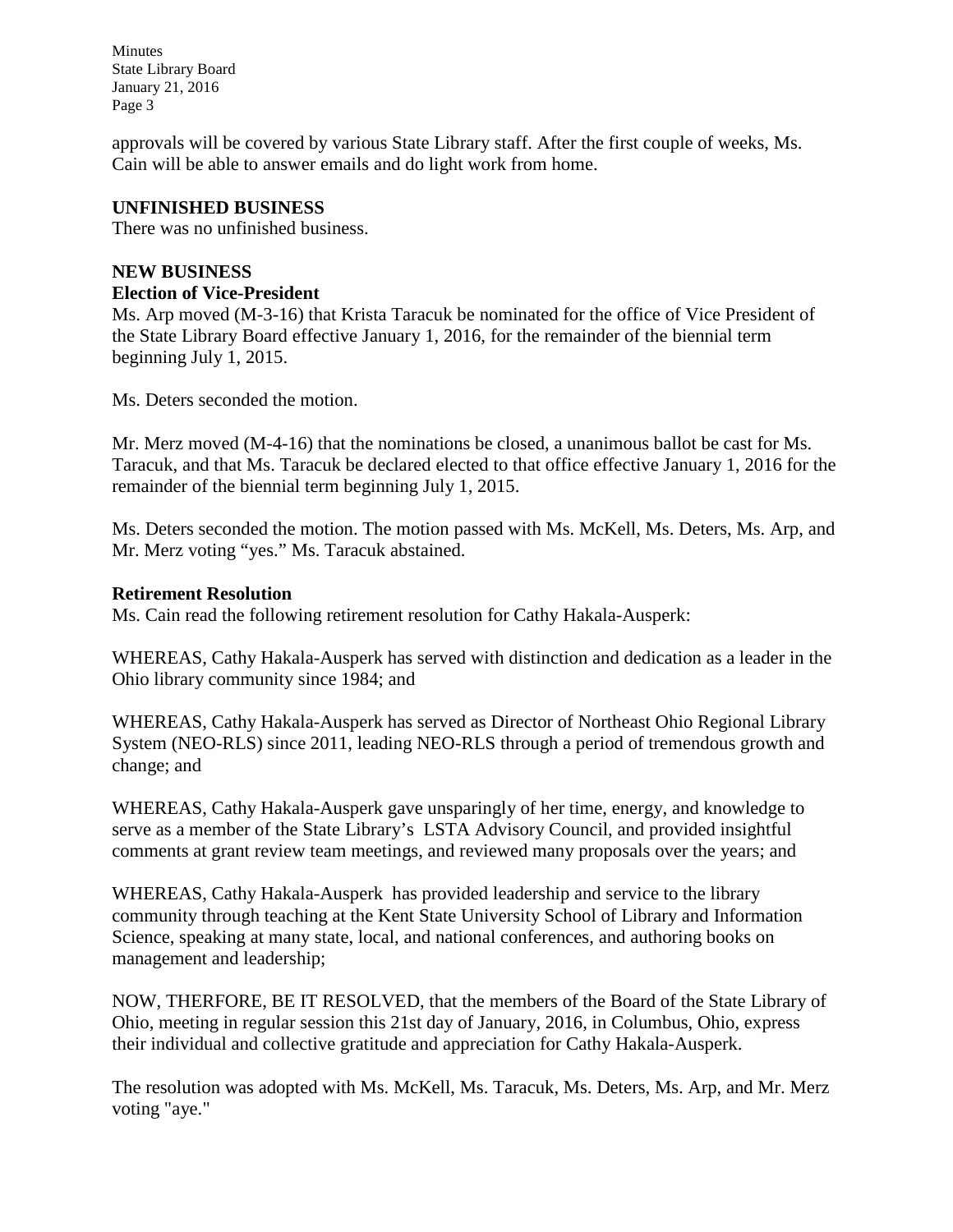Minutes State Library Board January 21, 2016 Page 3

approvals will be covered by various State Library staff. After the first couple of weeks, Ms. Cain will be able to answer emails and do light work from home.

### **UNFINISHED BUSINESS**

There was no unfinished business.

### **NEW BUSINESS**

### **Election of Vice-President**

Ms. Arp moved (M-3-16) that Krista Taracuk be nominated for the office of Vice President of the State Library Board effective January 1, 2016, for the remainder of the biennial term beginning July 1, 2015.

Ms. Deters seconded the motion.

Mr. Merz moved (M-4-16) that the nominations be closed, a unanimous ballot be cast for Ms. Taracuk, and that Ms. Taracuk be declared elected to that office effective January 1, 2016 for the remainder of the biennial term beginning July 1, 2015.

Ms. Deters seconded the motion. The motion passed with Ms. McKell, Ms. Deters, Ms. Arp, and Mr. Merz voting "yes." Ms. Taracuk abstained.

#### **Retirement Resolution**

Ms. Cain read the following retirement resolution for Cathy Hakala-Ausperk:

WHEREAS, Cathy Hakala-Ausperk has served with distinction and dedication as a leader in the Ohio library community since 1984; and

WHEREAS, Cathy Hakala-Ausperk has served as Director of Northeast Ohio Regional Library System (NEO-RLS) since 2011, leading NEO-RLS through a period of tremendous growth and change; and

WHEREAS, Cathy Hakala-Ausperk gave unsparingly of her time, energy, and knowledge to serve as a member of the State Library's LSTA Advisory Council, and provided insightful comments at grant review team meetings, and reviewed many proposals over the years; and

WHEREAS, Cathy Hakala-Ausperk has provided leadership and service to the library community through teaching at the Kent State University School of Library and Information Science, speaking at many state, local, and national conferences, and authoring books on management and leadership;

NOW, THERFORE, BE IT RESOLVED, that the members of the Board of the State Library of Ohio, meeting in regular session this 21st day of January, 2016, in Columbus, Ohio, express their individual and collective gratitude and appreciation for Cathy Hakala-Ausperk.

The resolution was adopted with Ms. McKell, Ms. Taracuk, Ms. Deters, Ms. Arp, and Mr. Merz voting "aye."